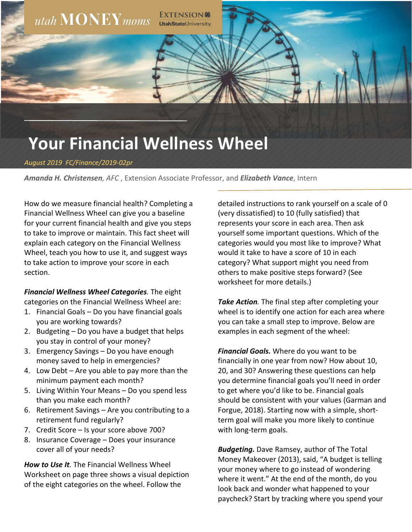

*August 2019 FC/Finance/2019-02pr*

*Amanda H. Christensen, AFC* , Extension Associate Professor, and *Elizabeth Vance*, Intern

How do we measure financial health? Completing a Financial Wellness Wheel can give you a baseline for your current financial health and give you steps to take to improve or maintain. This fact sheet will explain each category on the Financial Wellness Wheel, teach you how to use it, and suggest ways to take action to improve your score in each section.

*Financial Wellness Wheel Categories.* The eight categories on the Financial Wellness Wheel are:

- 1. Financial Goals Do you have financial goals you are working towards?
- 2. Budgeting Do you have a budget that helps you stay in control of your money?
- 3. Emergency Savings Do you have enough money saved to help in emergencies?
- 4. Low Debt Are you able to pay more than the minimum payment each month?
- 5. Living Within Your Means Do you spend less than you make each month?
- 6. Retirement Savings Are you contributing to a retirement fund regularly?
- 7. Credit Score Is your score above 700?
- 8. Insurance Coverage Does your insurance cover all of your needs?

*How to Use It.* The Financial Wellness Wheel Worksheet on page three shows a visual depiction of the eight categories on the wheel. Follow the

detailed instructions to rank yourself on a scale of 0 (very dissatisfied) to 10 (fully satisfied) that represents your score in each area. Then ask yourself some important questions. Which of the categories would you most like to improve? What would it take to have a score of 10 in each category? What support might you need from others to make positive steps forward? (See worksheet for more details.)

*Take Action.* The final step after completing your wheel is to identify one action for each area where you can take a small step to improve. Below are examples in each segment of the wheel:

*Financial Goals.* Where do you want to be financially in one year from now? How about 10, 20, and 30? Answering these questions can help you determine financial goals you'll need in order to get where you'd like to be. Financial goals should be consistent with your values (Garman and Forgue, 2018). Starting now with a simple, shortterm goal will make you more likely to continue with long-term goals.

*Budgeting.* Dave Ramsey, author of The Total Money Makeover (2013), said, "A budget is telling your money where to go instead of wondering where it went." At the end of the month, do you look back and wonder what happened to your paycheck? Start by tracking where you spend your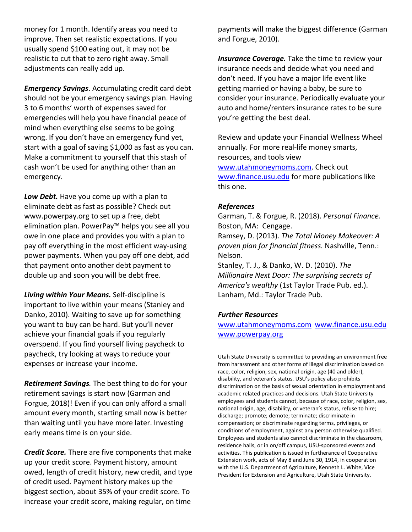money for 1 month. Identify areas you need to improve. Then set realistic expectations. If you usually spend \$100 eating out, it may not be realistic to cut that to zero right away. Small adjustments can really add up.

*Emergency Savings*. Accumulating credit card debt should not be your emergency savings plan. Having 3 to 6 months' worth of expenses saved for emergencies will help you have financial peace of mind when everything else seems to be going wrong. If you don't have an emergency fund yet, start with a goal of saving \$1,000 as fast as you can. Make a commitment to yourself that this stash of cash won't be used for anything other than an emergency.

*Low Debt.* Have you come up with a plan to eliminate debt as fast as possible? Check out www.powerpay.org to set up a free, debt elimination plan. PowerPay™ helps you see all you owe in one place and provides you with a plan to pay off everything in the most efficient way-using power payments. When you pay off one debt, add that payment onto another debt payment to double up and soon you will be debt free.

*Living within Your Means.* Self-discipline is important to live within your means (Stanley and Danko, 2010). Waiting to save up for something you want to buy can be hard. But you'll never achieve your financial goals if you regularly overspend. If you find yourself living paycheck to paycheck, try looking at ways to reduce your expenses or increase your income.

*Retirement Savings.* The best thing to do for your retirement savings is start now (Garman and Forgue, 2018)! Even if you can only afford a small amount every month, starting small now is better than waiting until you have more later. Investing early means time is on your side.

*Credit Score.* There are five components that make up your credit score. Payment history, amount owed, length of credit history, new credit, and type of credit used. Payment history makes up the biggest section, about 35% of your credit score. To increase your credit score, making regular, on time

payments will make the biggest difference (Garman and Forgue, 2010).

*Insurance Coverage.* Take the time to review your insurance needs and decide what you need and don't need. If you have a major life event like getting married or having a baby, be sure to consider your insurance. Periodically evaluate your auto and home/renters insurance rates to be sure you're getting the best deal.

Review and update your Financial Wellness Wheel annually. For more real-life money smarts, resources, and tools view [www.utahmoneymoms.com.](http://www.utahmoneymoms.com/) Check out [www.finance.usu.edu](http://www.finance.usu.edu/) for more publications like this one.

## *References*

Garman, T. & Forgue, R. (2018). *Personal Finance.* Boston, MA: Cengage.

Ramsey, D. (2013). *The Total Money Makeover: A proven plan for financial fitness.* Nashville, Tenn.: Nelson.

Stanley, T. J., & Danko, W. D. (2010). *The Millionaire Next Door: The surprising secrets of America's wealthy* (1st Taylor Trade Pub. ed.). Lanham, Md.: Taylor Trade Pub.

### *Further Resources*

[www.utahmoneymoms.com](http://www.utahmoneymoms.com/) [www.finance.usu.edu](http://www.finance.usu.edu/)  [www.powerpay.org](http://www.powerpay.org/)

Utah State University is committed to providing an environment free from harassment and other forms of illegal discrimination based on race, color, religion, sex, national origin, age (40 and older), disability, and veteran's status. USU's policy also prohibits discrimination on the basis of sexual orientation in employment and academic related practices and decisions. Utah State University employees and students cannot, because of race, color, religion, sex, national origin, age, disability, or veteran's status, refuse to hire; discharge; promote; demote; terminate; discriminate in compensation; or discriminate regarding terms, privileges, or conditions of employment, against any person otherwise qualified. Employees and students also cannot discriminate in the classroom, residence halls, or in on/off campus, USU-sponsored events and activities. This publication is issued in furtherance of Cooperative Extension work, acts of May 8 and June 30, 1914, in cooperation with the U.S. Department of Agriculture, Kenneth L. White, Vice President for Extension and Agriculture, Utah State University.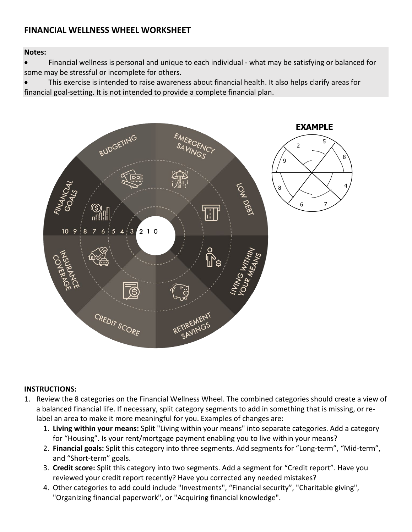# **FINANCIAL WELLNESS WHEEL WORKSHEET**

## **Notes:**

• Financial wellness is personal and unique to each individual - what may be satisfying or balanced for some may be stressful or incomplete for others.

• This exercise is intended to raise awareness about financial health. It also helps clarify areas for financial goal-setting. It is not intended to provide a complete financial plan.



### **INSTRUCTIONS:**

- 1. Review the 8 categories on the Financial Wellness Wheel. The combined categories should create a view of a balanced financial life. If necessary, split category segments to add in something that is missing, or relabel an area to make it more meaningful for you. Examples of changes are:
	- 1. **Living within your means:** Split "Living within your means" into separate categories. Add a category for "Housing". Is your rent/mortgage payment enabling you to live within your means?
	- 2. **Financial goals:** Split this category into three segments. Add segments for "Long-term", "Mid-term", and "Short-term" goals.
	- 3. **Credit score:** Split this category into two segments. Add a segment for "Credit report". Have you reviewed your credit report recently? Have you corrected any needed mistakes?
	- 4. Other categories to add could include "Investments", "Financial security", "Charitable giving", "Organizing financial paperwork", or "Acquiring financial knowledge".